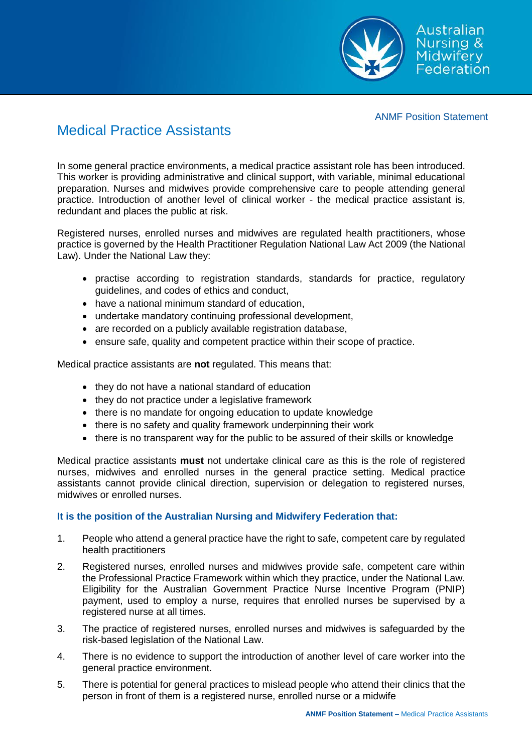

ANMF Position Statement

## Medical Practice Assistants

In some general practice environments, a medical practice assistant role has been introduced. This worker is providing administrative and clinical support, with variable, minimal educational preparation. Nurses and midwives provide comprehensive care to people attending general practice. Introduction of another level of clinical worker - the medical practice assistant is, redundant and places the public at risk.

Registered nurses, enrolled nurses and midwives are regulated health practitioners, whose practice is governed by the Health Practitioner Regulation National Law Act 2009 (the National Law). Under the National Law they:

- practise according to registration standards, standards for practice, regulatory guidelines, and codes of ethics and conduct,
- have a national minimum standard of education,
- undertake mandatory continuing professional development,
- are recorded on a publicly available registration database,
- ensure safe, quality and competent practice within their scope of practice.

Medical practice assistants are **not** regulated. This means that:

- they do not have a national standard of education
- they do not practice under a legislative framework
- there is no mandate for ongoing education to update knowledge
- there is no safety and quality framework underpinning their work
- there is no transparent way for the public to be assured of their skills or knowledge

Medical practice assistants **must** not undertake clinical care as this is the role of registered nurses, midwives and enrolled nurses in the general practice setting. Medical practice assistants cannot provide clinical direction, supervision or delegation to registered nurses, midwives or enrolled nurses.

## **It is the position of the Australian Nursing and Midwifery Federation that:**

- 1. People who attend a general practice have the right to safe, competent care by regulated health practitioners
- 2. Registered nurses, enrolled nurses and midwives provide safe, competent care within the Professional Practice Framework within which they practice, under the National Law. Eligibility for the Australian Government Practice Nurse Incentive Program (PNIP) payment, used to employ a nurse, requires that enrolled nurses be supervised by a registered nurse at all times.
- 3. The practice of registered nurses, enrolled nurses and midwives is safeguarded by the risk-based legislation of the National Law.
- 4. There is no evidence to support the introduction of another level of care worker into the general practice environment.
- 5. There is potential for general practices to mislead people who attend their clinics that the person in front of them is a registered nurse, enrolled nurse or a midwife